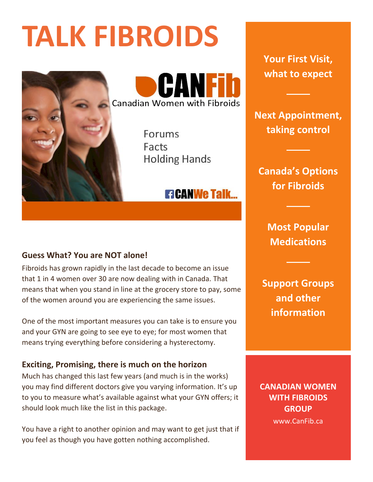# **TALK FIBROIDS**



**Canadian Women with Fibroids** 

Forums Facts **Holding Hands** 

# **ETCANWE TAIK...**

# **Guess What? You are NOT alone!**

Fibroids has grown rapidly in the last decade to become an issue that 1 in 4 women over 30 are now dealing with in Canada. That means that when you stand in line at the grocery store to pay, some of the women around you are experiencing the same issues.

One of the most important measures you can take is to ensure you and your GYN are going to see eye to eye; for most women that means trying everything before considering a hysterectomy.

#### **Exciting, Promising, there is much on the horizon**

Much has changed this last few years (and much is in the works) you may find different doctors give you varying information. It's up to you to measure what's available against what your GYN offers; it should look much like the list in this package.

You have a right to another opinion and may want to get just that if you feel as though you have gotten nothing accomplished.

**Your First Visit, what to expect**

**Next Appointment, taking control**

**Canada's Options for Fibroids**

> **Most Popular Medications**

**Support Groups and other information**

**CANADIAN WOMEN WITH FIBROIDS GROUP** www.CanFib.ca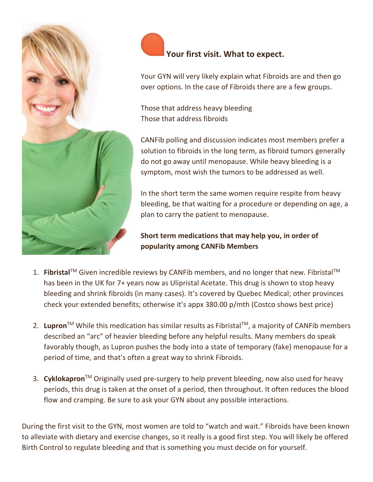

# **Your first visit. What to expect.**

Your GYN will very likely explain what Fibroids are and then go over options. In the case of Fibroids there are a few groups.

Those that address heavy bleeding Those that address fibroids

CANFib polling and discussion indicates most members prefer a solution to fibroids in the long term, as fibroid tumors generally do not go away until menopause. While heavy bleeding is a symptom, most wish the tumors to be addressed as well.

In the short term the same women require respite from heavy bleeding, be that waiting for a procedure or depending on age, a plan to carry the patient to menopause.

**Short term medications that may help you, in order of popularity among CANFib Members**

- 1. Fibristal<sup>™</sup> Given incredible reviews by CANFib members, and no longer that new. Fibristal<sup>™</sup> has been in the UK for 7+ years now as Ulipristal Acetate. This drug is shown to stop heavy bleeding and shrink fibroids (in many cases). It's covered by Quebec Medical; other provinces check your extended benefits; otherwise it's appx 380.00 p/mth (Costco shows best price)
- 2. **Lupron**TM While this medication has similar results as FibristalTM, a majority of CANFib members described an "arc" of heavier bleeding before any helpful results. Many members do speak favorably though, as Lupron pushes the body into a state of temporary (fake) menopause for a period of time, and that's often a great way to shrink Fibroids.
- 3. **Cyklokapron**TM Originally used pre-surgery to help prevent bleeding, now also used for heavy periods, this drug is taken at the onset of a period, then throughout. It often reduces the blood flow and cramping. Be sure to ask your GYN about any possible interactions.

During the first visit to the GYN, most women are told to "watch and wait." Fibroids have been known to alleviate with dietary and exercise changes, so it really is a good first step. You will likely be offered Birth Control to regulate bleeding and that is something you must decide on for yourself.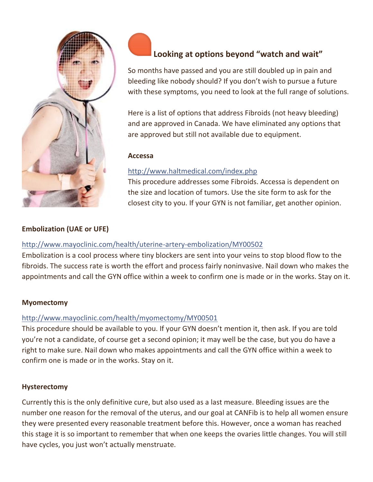

# **Looking at options beyond "watch and wait"**

So months have passed and you are still doubled up in pain and bleeding like nobody should? If you don't wish to pursue a future with these symptoms, you need to look at the full range of solutions.

Here is a list of options that address Fibroids (not heavy bleeding) and are approved in Canada. We have eliminated any options that are approved but still not available due to equipment.

#### **Accessa**

#### <http://www.haltmedical.com/index.php>

This procedure addresses some Fibroids. Accessa is dependent on the size and location of tumors. Use the site form to ask for the closest city to you. If your GYN is not familiar, get another opinion.

#### **Embolization (UAE or UFE)**

#### <http://www.mayoclinic.com/health/uterine-artery-embolization/MY00502>

Embolization is a cool process where tiny blockers are sent into your veins to stop blood flow to the fibroids. The success rate is worth the effort and process fairly noninvasive. Nail down who makes the appointments and call the GYN office within a week to confirm one is made or in the works. Stay on it.

#### **Myomectomy**

#### <http://www.mayoclinic.com/health/myomectomy/MY00501>

This procedure should be available to you. If your GYN doesn't mention it, then ask. If you are told you're not a candidate, of course get a second opinion; it may well be the case, but you do have a right to make sure. Nail down who makes appointments and call the GYN office within a week to confirm one is made or in the works. Stay on it.

#### **Hysterectomy**

Currently this is the only definitive cure, but also used as a last measure. Bleeding issues are the number one reason for the removal of the uterus, and our goal at CANFib is to help all women ensure they were presented every reasonable treatment before this. However, once a woman has reached this stage it is so important to remember that when one keeps the ovaries little changes. You will still have cycles, you just won't actually menstruate.